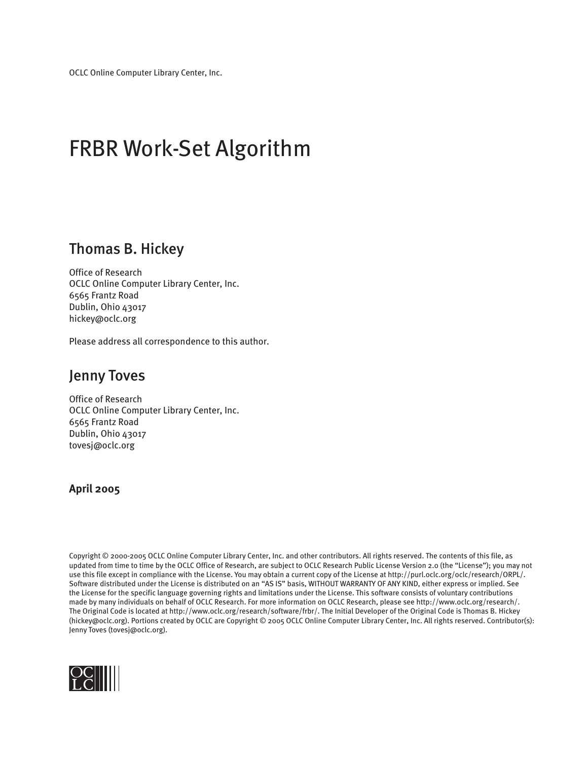# FRBR Work-Set Algorithm

### Thomas B. Hickey

Office of Research OCLC Online Computer Library Center, Inc. 6565 Frantz Road Dublin, Ohio 43017 hickey@oclc.org

Please address all correspondence to this author.

### Jenny Toves

Office of Research OCLC Online Computer Library Center, Inc. 6565 Frantz Road Dublin, Ohio 43017 tovesj@oclc.org

#### **April 2005**

Copyright © 2000-2005 OCLC Online Computer Library Center, Inc. and other contributors. All rights reserved. The contents of this file, as updated from time to time by the OCLC Office of Research, are subject to OCLC Research Public License Version 2.0 (the "License"); you may not use this file except in compliance with the License. You may obtain a current copy of the License at http://purl.oclc.org/oclc/research/ORPL/. Software distributed under the License is distributed on an "AS IS" basis, WITHOUT WARRANTY OF ANY KIND, either express or implied. See the License for the specific language governing rights and limitations under the License. This software consists of voluntary contributions made by many individuals on behalf of OCLC Research. For more information on OCLC Research, please see http://www.oclc.org/research/. The Original Code is located at http://www.oclc.org/research/software/frbr/. The Initial Developer of the Original Code is Thomas B. Hickey (hickey@oclc.org). Portions created by OCLC are Copyright © 2005 OCLC Online Computer Library Center, Inc. All rights reserved. Contributor(s): Jenny Toves (tovesj@oclc.org).

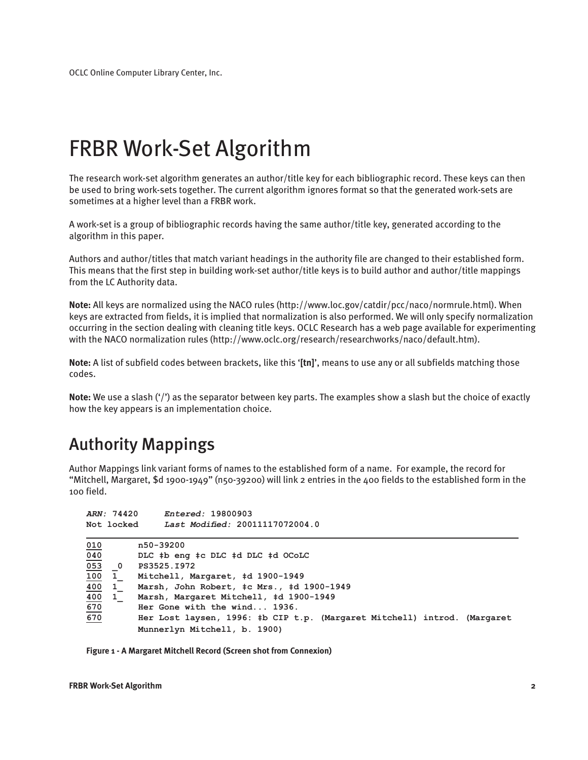# FRBR Work-Set Algorithm

The research work-set algorithm generates an author/title key for each bibliographic record. These keys can then be used to bring work-sets together. The current algorithm ignores format so that the generated work-sets are sometimes at a higher level than a FRBR work.

A work-set is a group of bibliographic records having the same author/title key, generated according to the algorithm in this paper.

Authors and author/titles that match variant headings in the authority file are changed to their established form. This means that the first step in building work-set author/title keys is to build author and author/title mappings from the LC Authority data.

**Note:** All keys are normalized using the NACO rules (http://www.loc.gov/catdir/pcc/naco/normrule.html). When keys are extracted from fields, it is implied that normalization is also performed. We will only specify normalization occurring in the section dealing with cleaning title keys. OCLC Research has a web page available for experimenting with the NACO normalization rules (http://www.oclc.org/research/researchworks/naco/default.htm).

**Note:** A list of subfield codes between brackets, like this '**[tn]**', means to use any or all subfields matching those codes.

**Note:** We use a slash ('/') as the separator between key parts. The examples show a slash but the choice of exactly how the key appears is an implementation choice.

# Authority Mappings

Author Mappings link variant forms of names to the established form of a name. For example, the record for "Mitchell, Margaret, \$d 1900-1949" (n50-39200) will link 2 entries in the 400 fields to the established form in the 100 field.

|                                | ARN: 74420                                   | Entered: 19800903                                                                                                                        |
|--------------------------------|----------------------------------------------|------------------------------------------------------------------------------------------------------------------------------------------|
|                                | Not locked                                   | Last Modified: 20011117072004.0                                                                                                          |
| 010<br>040<br>$\overline{053}$ | $\overline{\phantom{0}}$                     | n50-39200<br>DLC #b eng #c DLC #d DLC #d OCoLC<br>PS3525.I972                                                                            |
| <u> 100</u><br>400<br>400      | $\mathbf{1}$<br>$\mathbf{1}$<br>$\mathbf{1}$ | Mitchell, Margaret, #d 1900-1949<br>Marsh, John Robert, ‡c Mrs., ‡d 1900-1949<br>Marsh, Margaret Mitchell, #d 1900-1949                  |
| 670<br>670                     |                                              | Her Gone with the wind 1936.<br>Her Lost laysen, 1996: #b CIP t.p. (Margaret Mitchell) introd. (Margaret<br>Munnerlyn Mitchell, b. 1900) |

**Figure 1 - A Margaret Mitchell Record (Screen shot from Connexion)**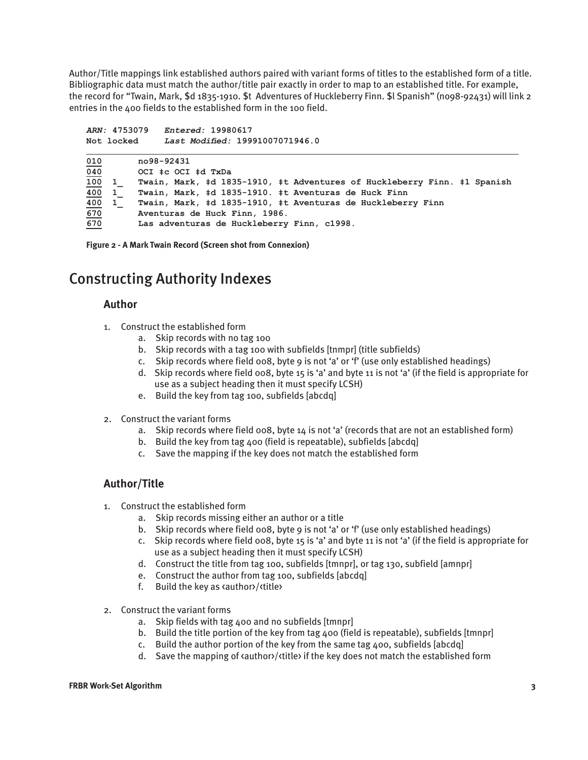Author/Title mappings link established authors paired with variant forms of titles to the established form of a title. Bibliographic data must match the author/title pair exactly in order to map to an established title. For example, the record for "Twain, Mark, \$d 1835-1910. \$t Adventures of Huckleberry Finn. \$l Spanish" (no98-92431) will link 2 entries in the 400 fields to the established form in the 100 field.

*ARN:* **4753079** *Entered:* **19980617 Not locked** *Last Modified:* **19991007071946.0 010 no98-92431 040 OCI ‡c OCI ‡d TxDa 100 1\_ Twain, Mark, ‡d 1835-1910, ‡t Adventures of Huckleberry Finn. ‡1 Spanish 400 1\_ Twain, Mark, ‡d 1835-1910. ‡t Aventuras de Huck Finn 400 1\_ Twain, Mark, ‡d 1835-1910, ‡t Aventuras de Huckleberry Finn 670 Aventuras de Huck Finn, 1986. 670 Las adventuras de Huckleberry Finn, c1998.**

**Figure 2 - A Mark Twain Record (Screen shot from Connexion)**

### Constructing Authority Indexes

#### **Author**

- 1. Construct the established form
	- a. Skip records with no tag 100
	- b. Skip records with a tag 100 with subfields [tnmpr] (title subfields)
	- c. Skip records where field 008, byte 9 is not 'a' or 'f' (use only established headings)
	- d. Skip records where field 008, byte 15 is 'a' and byte 11 is not 'a' (if the field is appropriate for use as a subject heading then it must specify LCSH)
	- e. Build the key from tag 100, subfields [abcdq]
- 2. Construct the variant forms
	- a. Skip records where field 008, byte 14 is not 'a' (records that are not an established form)
	- b. Build the key from tag 400 (field is repeatable), subfields [abcdq]
	- c. Save the mapping if the key does not match the established form

#### **Author/Title**

- 1. Construct the established form
	- a. Skip records missing either an author or a title
	- b. Skip records where field 008, byte 9 is not 'a' or 'f' (use only established headings)
	- c. Skip records where field 008, byte 15 is 'a' and byte 11 is not 'a' (if the field is appropriate for use as a subject heading then it must specify LCSH)
	- d. Construct the title from tag 100, subfields [tmnpr], or tag 130, subfield [amnpr]
	- e. Construct the author from tag 100, subfields [abcdq]
	- f. Build the key as <author>/<title>
- 2. Construct the variant forms
	- a. Skip fields with tag 400 and no subfields [tmnpr]
	- b. Build the title portion of the key from tag 400 (field is repeatable), subfields [tmnpr]
	- c. Build the author portion of the key from the same tag 400, subfields [abcdq]
	- d. Save the mapping of  $\alpha$  sauthor  $\alpha$  /  $\beta$  title if the key does not match the established form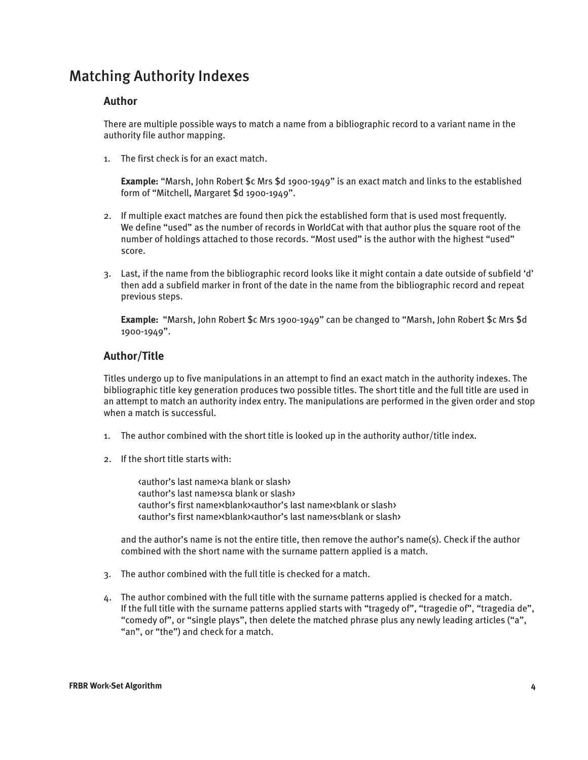## Matching Authority Indexes

#### **Author**

There are multiple possible ways to match a name from a bibliographic record to a variant name in the authority file author mapping.

1. The first check is for an exact match.

**Example:** "Marsh, John Robert \$c Mrs \$d 1900-1949" is an exact match and links to the established form of "Mitchell, Margaret \$d 1900-1949".

- 2. If multiple exact matches are found then pick the established form that is used most frequently. We define "used" as the number of records in WorldCat with that author plus the square root of the number of holdings attached to those records. "Most used" is the author with the highest "used" score.
- 3. Last, if the name from the bibliographic record looks like it might contain a date outside of subfield 'd' then add a subfield marker in front of the date in the name from the bibliographic record and repeat previous steps.

**Example:** "Marsh, John Robert \$c Mrs 1900-1949" can be changed to "Marsh, John Robert \$c Mrs \$d 1900-1949".

#### **Author/Title**

Titles undergo up to five manipulations in an attempt to find an exact match in the authority indexes. The bibliographic title key generation produces two possible titles. The short title and the full title are used in an attempt to match an authority index entry. The manipulations are performed in the given order and stop when a match is successful.

- 1. The author combined with the short title is looked up in the authority author/title index.
- 2. If the short title starts with:

 <author's last name><a blank or slash> <author's last name>s<a blank or slash> <author's first name><blank><author's last name><blank or slash> <author's first name><blank><author's last name>s<blank or slash>

and the author's name is not the entire title, then remove the author's name(s). Check if the author combined with the short name with the surname pattern applied is a match.

- 3. The author combined with the full title is checked for a match.
- 4. The author combined with the full title with the surname patterns applied is checked for a match. If the full title with the surname patterns applied starts with "tragedy of", "tragedie of", "tragedia de", "comedy of", or "single plays", then delete the matched phrase plus any newly leading articles ("a", "an", or "the") and check for a match.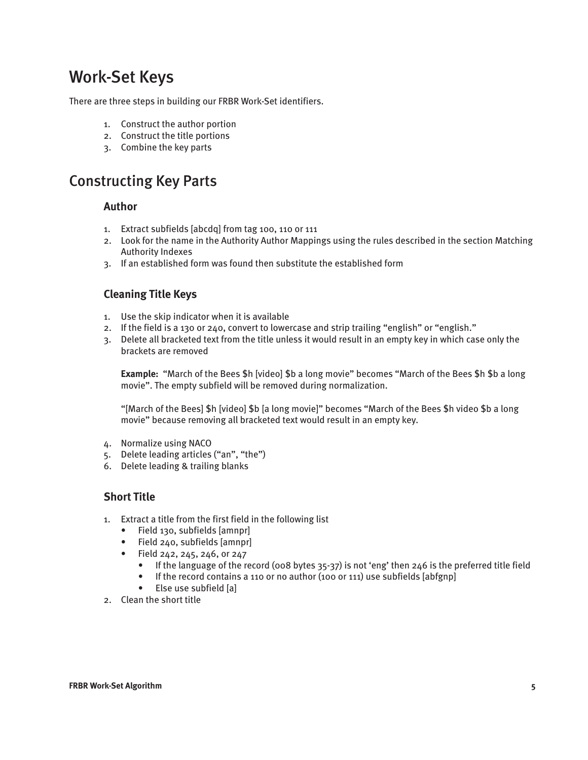# Work-Set Keys

There are three steps in building our FRBR Work-Set identifiers.

- 1. Construct the author portion
- 2. Construct the title portions
- 3. Combine the key parts

## Constructing Key Parts

#### **Author**

- 1. Extract subfields [abcdq] from tag 100, 110 or 111
- 2. Look for the name in the Authority Author Mappings using the rules described in the section Matching Authority Indexes
- 3. If an established form was found then substitute the established form

#### **Cleaning Title Keys**

- 1. Use the skip indicator when it is available
- 2. If the field is a 130 or 240, convert to lowercase and strip trailing "english" or "english."
- 3. Delete all bracketed text from the title unless it would result in an empty key in which case only the brackets are removed

**Example:** "March of the Bees \$h [video] \$b a long movie" becomes "March of the Bees \$h \$b a long movie". The empty subfield will be removed during normalization.

"[March of the Bees] \$h [video] \$b [a long movie]" becomes "March of the Bees \$h video \$b a long movie" because removing all bracketed text would result in an empty key.

- 4. Normalize using NACO
- 5. Delete leading articles ("an", "the")
- 6. Delete leading & trailing blanks

#### **Short Title**

- 1. Extract a title from the first field in the following list
	- Field 130, subfields [amnpr]
	- Field 240, subfields [amnpr]
	- Field 242, 245, 246, or 247
		- If the language of the record (008 bytes 35-37) is not 'eng' then 246 is the preferred title field
		- If the record contains a 110 or no author (100 or 111) use subfields [abfgnp]
		- Else use subfield [a]
- 2. Clean the short title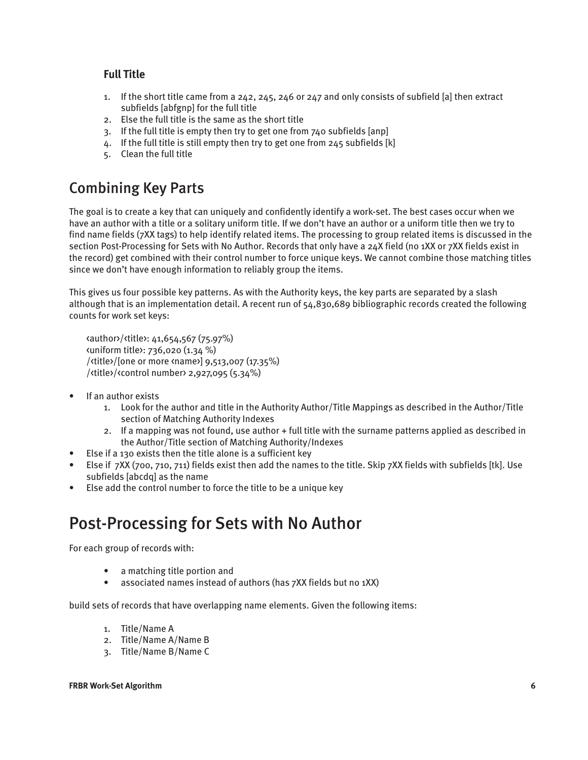#### **Full Title**

- 1. If the short title came from a 242, 245, 246 or 247 and only consists of subfield [a] then extract subfields [abfgnp] for the full title
- 2. Else the full title is the same as the short title
- 3. If the full title is empty then try to get one from 740 subfields [anp]
- 4. If the full title is still empty then try to get one from 245 subfields [k]
- 5. Clean the full title

## Combining Key Parts

The goal is to create a key that can uniquely and confidently identify a work-set. The best cases occur when we have an author with a title or a solitary uniform title. If we don't have an author or a uniform title then we try to find name fields (7XX tags) to help identify related items. The processing to group related items is discussed in the section Post-Processing for Sets with No Author. Records that only have a 24X field (no 1XX or 7XX fields exist in the record) get combined with their control number to force unique keys. We cannot combine those matching titles since we don't have enough information to reliably group the items.

This gives us four possible key patterns. As with the Authority keys, the key parts are separated by a slash although that is an implementation detail. A recent run of 54,830,689 bibliographic records created the following counts for work set keys:

<author>/<title>: 41,654,567 (75.97%) <uniform title>: 736,020 (1.34 %) /<title>/[one or more <name>] 9,513,007 (17.35%) /<title>/<control number> 2,927,095 (5.34%)

- If an author exists
	- 1. Look for the author and title in the Authority Author/Title Mappings as described in the Author/Title section of Matching Authority Indexes
	- 2. If a mapping was not found, use author + full title with the surname patterns applied as described in the Author/Title section of Matching Authority/Indexes
- Else if a 130 exists then the title alone is a sufficient key
- Else if 7XX (700, 710, 711) fields exist then add the names to the title. Skip 7XX fields with subfields [tk]. Use subfields [abcdq] as the name
- Else add the control number to force the title to be a unique key

# Post-Processing for Sets with No Author

For each group of records with:

- a matching title portion and
- associated names instead of authors (has 7XX fields but no 1XX)

build sets of records that have overlapping name elements. Given the following items:

- 1. Title/Name A
- 2. Title/Name A/Name B
- 3. Title/Name B/Name C